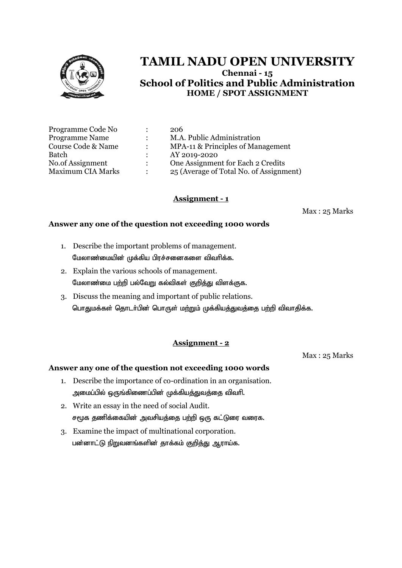

| Programme Code No        |                      | 206                                     |
|--------------------------|----------------------|-----------------------------------------|
| <b>Programme Name</b>    |                      | M.A. Public Administration              |
| Course Code & Name       |                      | MPA-11 & Principles of Management       |
| Batch                    |                      | AY 2019-2020                            |
| No.of Assignment         | $\ddot{\phantom{a}}$ | One Assignment for Each 2 Credits       |
| <b>Maximum CIA Marks</b> |                      | 25 (Average of Total No. of Assignment) |

# **Assignment - 1**

Max : 25 Marks

#### **Answer any one of the question not exceeding 1000 words**

- 1. Describe the important problems of management. மேலாண்மையின் முக்கிய பிரச்சனைகளை விவரிக்க.
- 2. Explain the various schools of management. மேலாண்மை பற்றி பல்வேறு கல்விகள் குறித்து விளக்குக.
- 3. Discuss the meaning and important of public relations. பொதுமக்கள் தொடர்பின் பொருள் மற்றும் முக்கியத்துவத்தை பற்றி விவாதிக்க.

#### **Assignment - 2**

Max : 25 Marks

- 1. Describe the importance of co-ordination in an organisation. அமைப்பில் ஒருங்கிணைப்பின் முக்கிய<u>த்த</u>ுவத்தை விவரி.
- 2. Write an essay in the need of social Audit. சமூக தணிக்கையின் அவசியத்தை பற்றி ஒரு கட்டுரை வரைக.
- 3. Examine the impact of multinational corporation. பன்னாட்டு நிறுவனங்களின் தாக்கம் குறித்து ஆராய்க.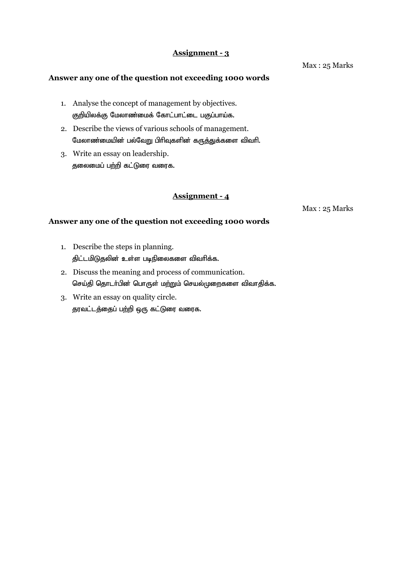#### **Answer any one of the question not exceeding 1000 words**

- 1. Analyse the concept of management by objectives. குறியிலக்கு மேலாண்மைக் கோட்பாட்டை பகுப்பாய்க.
- 2. Describe the views of various schools of management. மேலாண்மையின் பல்வேறு பிரிவுகளின் கருத்துக்களை விவரி.
- 3. Write an essay on leadership. தலைமைப் பற்றி கட்டுரை வரைக.

# **Assignment - 4**

Max : 25 Marks

## **Answer any one of the question not exceeding 1000 words**

- 1. Describe the steps in planning. திட்டமிடுதலின் உள்ள படிநிலைகளை விவரிக்க.
- 2. Discuss the meaning and process of communication. செய்தி தொடர்பின் பொருள் மற்றும் செயல்முறைகளை விவாதிக்க.
- 3. Write an essay on quality circle. தரவட்டத்தைப் பற்றி ஒரு கட்டுரை வரைக.

Max : 25 Marks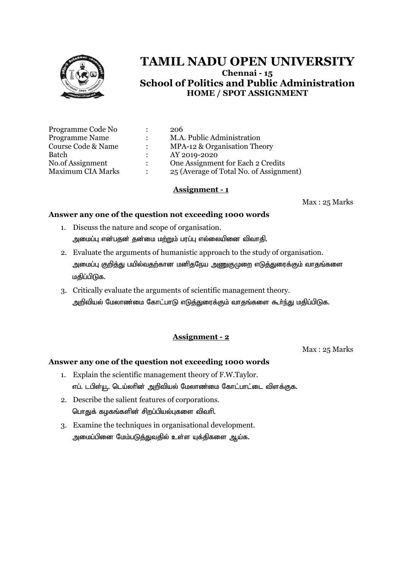

| Programme Code No        |               | 206                                     |
|--------------------------|---------------|-----------------------------------------|
| Programme Name           |               | M.A. Public Administration              |
| Course Code & Name       |               | MPA-12 & Organisation Theory            |
| Batch                    | $\mathcal{L}$ | AY 2019-2020                            |
| No.of Assignment         | $\mathcal{L}$ | One Assignment for Each 2 Credits       |
| <b>Maximum CIA Marks</b> |               | 25 (Average of Total No. of Assignment) |

#### **Assignment - 1**

Max : 25 Marks

#### **Answer any one of the question not exceeding 1000 words**

- 1. Discuss the nature and scope of organisation. அமைப்பு என்பதன் தன்மை மற்றும் பரப்பு எல்லையினை விவாதி.
- 2. Evaluate the arguments of humanistic approach to the study of organisation. அமைப்பு குறித்து பயில்வதற்கான மனிதநேய <u>அணுகு</u>முறை எடுத்துரைக்கும் வாதங்களை மதிப்பிடுக.
- 3. Critically evaluate the arguments of scientific management theory. அறிவியல் மேலாண்மை கோட்பாடு எடுத்துரைக்கும் வாதங்களை கூர்ந்து மதிப்பிடுக.

#### **Assignment - 2**

Max : 25 Marks

- 1. Explain the scientific management theory of F.W.Taylor. எப். டபிள்யூ. டெய்லாின் அறிவியல் மேலாண்மை கோட்பாட்டை விளக்குக.
- 2. Describe the salient features of corporations. பொதுக் கழகங்களின் சிறப்பியல்புகளை விவரி.
- 3. Examine the techniques in organisational development. அமைப்பினை மேம்படுத்துவதில் உள்ள யுக்திகளை ஆய்க.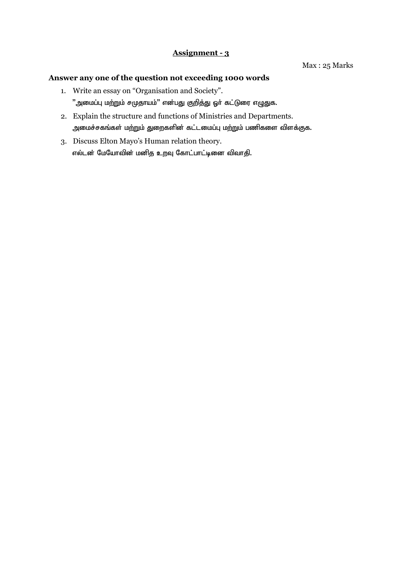- 1. Write an essay on "Organisation and Society".  $"$ அமைப்பு மற்றும் சமுதாயம்" என்பது குறித்து ஓா் கட்டுரை எழுதுக.
- 2. Explain the structure and functions of Ministries and Departments. அமைச்சகங்கள் மற்றும் துறைகளின் கட்டமைப்பு மற்றும் பணிகளை விளக்குக.
- 3. Discuss Elton Mayo's Human relation theory. எல்டன் மேயோவின் மனித உறவு கோட்பாட்டினை விவாதி.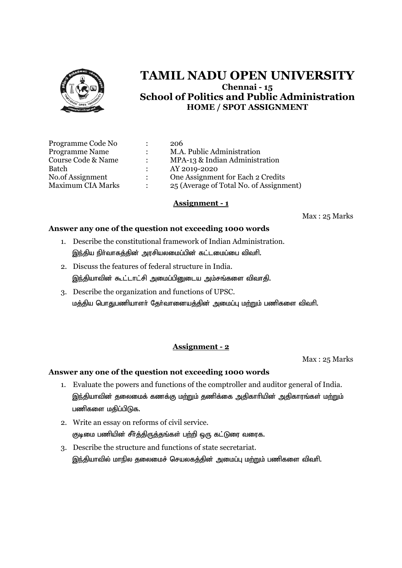

| Programme Code No        |               | 206                                     |
|--------------------------|---------------|-----------------------------------------|
| <b>Programme Name</b>    |               | M.A. Public Administration              |
| Course Code & Name       |               | MPA-13 & Indian Administration          |
| Batch                    |               | AY 2019-2020                            |
| No.of Assignment         | $\mathcal{L}$ | One Assignment for Each 2 Credits       |
| <b>Maximum CIA Marks</b> |               | 25 (Average of Total No. of Assignment) |

## **Assignment - 1**

Max : 25 Marks

## **Answer any one of the question not exceeding 1000 words**

- 1. Describe the constitutional framework of Indian Administration. இந்திய நிர்வாகத்தின் அரசியலமைப்பின் கட்டமைப்பை விவரி.
- 2. Discuss the features of federal structure in India. இந்தியாவின் கூட்டாட்சி அமைப்பினுடைய அம்சங்களை விவாதி.
- 3. Describe the organization and functions of UPSC. மத்திய பொதுபணியாளர் தேர்வானையத்தின் அமைப்பு மற்றும் பணிகளை விவரி.

# **Assignment - 2**

Max : 25 Marks

- 1. Evaluate the powers and functions of the comptroller and auditor general of India. இந்தியாவின் தலைமைக் கணக்கு மற்றும் தணிக்கை அதிகாரியின் அதிகாரங்கள் மற்றும் பணிகளை மகிப்பிடுக.
- 2. Write an essay on reforms of civil service. குடிமை பணியின் சீர்த்திருத்தங்கள் பற்றி ஒரு கட்டுரை வரைக.
- 3. Describe the structure and functions of state secretariat. இந்தியாவில் மாநில தலைமைச் செயலகத்தின் அமைப்பு மற்றும் பணிகளை விவரி.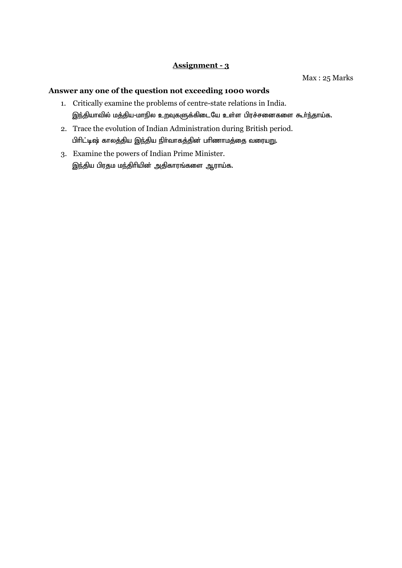#### Max : 25 Marks

- 1. Critically examine the problems of centre-state relations in India. இந்தியாவில் மத்திய-மாநில உறவுகளுக்கிடையே உள்ள பிரச்சனைகளை கூர்ந்தாய்க.
- 2. Trace the evolution of Indian Administration during British period. பிரிட்டிஷ் காலத்திய இந்திய நிர்வாகத்தின் பரிணாமத்தை வரையறு.
- 3. Examine the powers of Indian Prime Minister. இந்திய பிரதம மந்திரியின் அதிகாரங்களை ஆராய்க.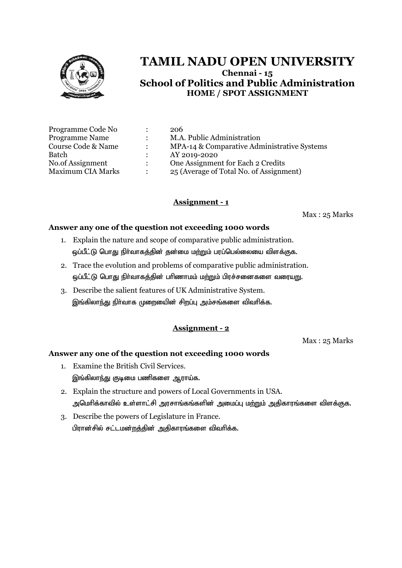

| 206                                         |
|---------------------------------------------|
| M.A. Public Administration                  |
| MPA-14 & Comparative Administrative Systems |
| AY 2019-2020                                |
| One Assignment for Each 2 Credits           |
| 25 (Average of Total No. of Assignment)     |
|                                             |

# **Assignment - 1**

Max : 25 Marks

#### **Answer any one of the question not exceeding 1000 words**

- 1. Explain the nature and scope of comparative public administration. ஒப்பீட்டு பொது நிர்வாகத்தின் தன்மை மற்றும் பரப்பெல்லையை விளக்குக.
- 2. Trace the evolution and problems of comparative public administration. ஒப்பீட்டு பொது நிர்வாகத்தின் பரிணாமம் மற்றும் பிரச்சனைகளை வரைய<u>று</u>.
- 3. Describe the salient features of UK Administrative System. இங்கிலாந்து நிர்வாக முறையைின் சிறப்பு அம்சங்களை விவரிக்க.

## **Assignment - 2**

Max : 25 Marks

- 1. Examine the British Civil Services. இங்கிலாந்து குடிமை பணிகளை ஆராய்க.
- 2. Explain the structure and powers of Local Governments in USA. அமெரிக்காவில் உள்ளாட்சி அரசாங்கங்களின் அமைப்பு ம<u>ற்று</u>ம் அதிகாரங்களை விளக்குக.
- 3. Describe the powers of Legislature in France. பிரான்சில் சட்டமன்றத்தின் அதிகாரங்களை விவரிக்க.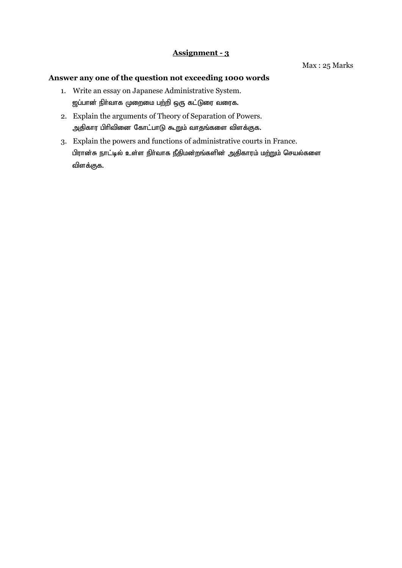- 1. Write an essay on Japanese Administrative System. <u>ஜ</u>ப்பான் நிர்வாக முறைமை பற்றி ஒரு கட்டுரை வரைக.
- 2. Explain the arguments of Theory of Separation of Powers. அதிகார பிரிவினை கோட்பாடு கூறும் வாதங்களை விளக்குக.
- 3. Explain the powers and functions of administrative courts in France. பிரான்சு நாட்டில் உள்ள நிர்வாக நீதிமன்றங்களின் அதிகாரம் மற்றும் செயல்களை விளக்குக.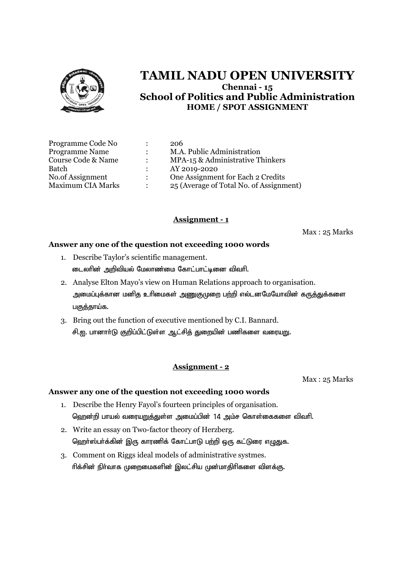

| Programme Code No        |                      | 206                                     |
|--------------------------|----------------------|-----------------------------------------|
| <b>Programme Name</b>    | $\cdot$              | M.A. Public Administration              |
| Course Code & Name       |                      | MPA-15 & Administrative Thinkers        |
| Batch                    |                      | AY 2019-2020                            |
| No.of Assignment         | $\ddot{\phantom{a}}$ | One Assignment for Each 2 Credits       |
| <b>Maximum CIA Marks</b> |                      | 25 (Average of Total No. of Assignment) |

## **Assignment - 1**

Max : 25 Marks

#### **Answer any one of the question not exceeding 1000 words**

- 1. Describe Taylor's scientific management. டைலரின் அறிவியல் மேலாண்மை கோட்பாட்டினை விவரி.
- 2. Analyse Elton Mayo's view on Human Relations approach to organisation. அமைப்புக்கான மனித உரிமைகள் அணுகுமுறை பற்றி எல்டனமேயோவின் கருத்துக்களை பகுத்தாய்க.
- 3. Bring out the function of executive mentioned by C.I. Bannard. சி.ஐ. பானார்டு குறிப்பிட்டுள்ள ஆட்சித் துறையின் பணிகளை வரையறு.

#### **Assignment - 2**

Max : 25 Marks

- 1. Describe the Henry Fayol's fourteen principles of organisation. ஹென்றி பாயல் வரையறுத்துள்ள அமைப்பின் 14 அம்ச கொள்கைகளை விவரி.
- 2. Write an essay on Two-factor theory of Herzberg. ஹெர்ஸ்பர்க்கின் இரு காரணிக் கோட்பாடு பற்றி ஒரு கட்டுரை எழுதுக.
- 3. Comment on Riggs ideal models of administrative systmes. ரிக்சின் நிர்வாக முறைமைகளின் இலட்சிய முன்மாதிரிகளை விளக்கு.